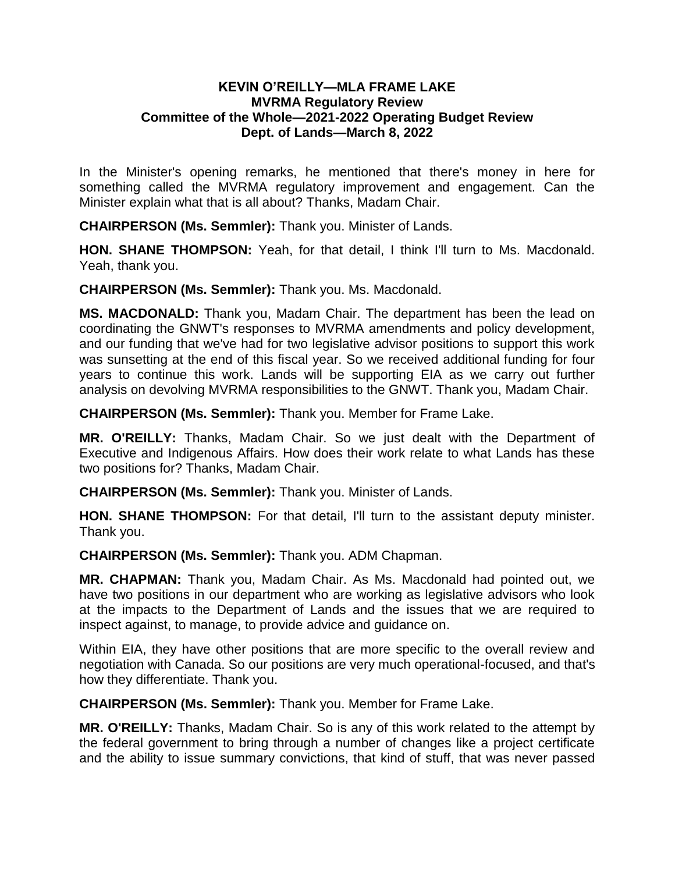## **KEVIN O'REILLY—MLA FRAME LAKE MVRMA Regulatory Review Committee of the Whole—2021-2022 Operating Budget Review Dept. of Lands—March 8, 2022**

In the Minister's opening remarks, he mentioned that there's money in here for something called the MVRMA regulatory improvement and engagement. Can the Minister explain what that is all about? Thanks, Madam Chair.

**CHAIRPERSON (Ms. Semmler):** Thank you. Minister of Lands.

**HON. SHANE THOMPSON:** Yeah, for that detail, I think I'll turn to Ms. Macdonald. Yeah, thank you.

**CHAIRPERSON (Ms. Semmler):** Thank you. Ms. Macdonald.

**MS. MACDONALD:** Thank you, Madam Chair. The department has been the lead on coordinating the GNWT's responses to MVRMA amendments and policy development, and our funding that we've had for two legislative advisor positions to support this work was sunsetting at the end of this fiscal year. So we received additional funding for four years to continue this work. Lands will be supporting EIA as we carry out further analysis on devolving MVRMA responsibilities to the GNWT. Thank you, Madam Chair.

**CHAIRPERSON (Ms. Semmler):** Thank you. Member for Frame Lake.

**MR. O'REILLY:** Thanks, Madam Chair. So we just dealt with the Department of Executive and Indigenous Affairs. How does their work relate to what Lands has these two positions for? Thanks, Madam Chair.

**CHAIRPERSON (Ms. Semmler):** Thank you. Minister of Lands.

**HON. SHANE THOMPSON:** For that detail, I'll turn to the assistant deputy minister. Thank you.

**CHAIRPERSON (Ms. Semmler):** Thank you. ADM Chapman.

**MR. CHAPMAN:** Thank you, Madam Chair. As Ms. Macdonald had pointed out, we have two positions in our department who are working as legislative advisors who look at the impacts to the Department of Lands and the issues that we are required to inspect against, to manage, to provide advice and guidance on.

Within EIA, they have other positions that are more specific to the overall review and negotiation with Canada. So our positions are very much operational-focused, and that's how they differentiate. Thank you.

**CHAIRPERSON (Ms. Semmler):** Thank you. Member for Frame Lake.

**MR. O'REILLY:** Thanks, Madam Chair. So is any of this work related to the attempt by the federal government to bring through a number of changes like a project certificate and the ability to issue summary convictions, that kind of stuff, that was never passed